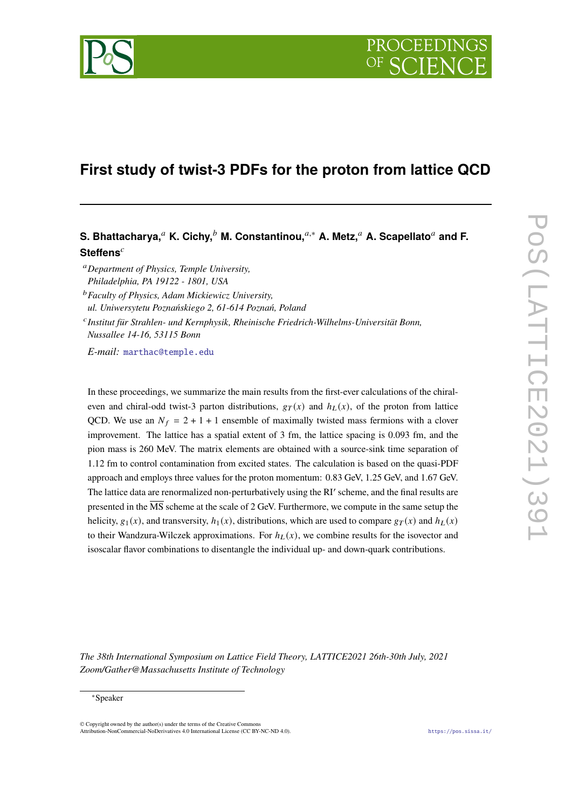

# **First study of twist-3 PDFs for the proton from lattice QCD**

## **S. Bhattacharya,<sup>***a***</sup> K. Cichy,<sup>***b***</sup> M. Constantinou,<sup>***a***,∗</sup> A. Metz,<sup>***a***</sup> A. Scapellato<sup>***a***</sup> and F. Steffens**

*Department of Physics, Temple University, Philadelphia, PA 19122 - 1801, USA*

*Faculty of Physics, Adam Mickiewicz University,*

*ul. Uniwersytetu Poznańskiego 2, 61-614 Poznań, Poland*

 *Institut für Strahlen- und Kernphysik, Rheinische Friedrich-Wilhelms-Universität Bonn, Nussallee 14-16, 53115 Bonn*

*E-mail:* [marthac@temple.edu](mailto:marthac@temple.edu)

In these proceedings, we summarize the main results from the first-ever calculations of the chiraleven and chiral-odd twist-3 parton distributions,  $g_T(x)$  and  $h_L(x)$ , of the proton from lattice QCD. We use an  $N_f = 2 + 1 + 1$  ensemble of maximally twisted mass fermions with a clover improvement. The lattice has a spatial extent of 3 fm, the lattice spacing is 0.093 fm, and the pion mass is 260 MeV. The matrix elements are obtained with a source-sink time separation of 1.12 fm to control contamination from excited states. The calculation is based on the quasi-PDF approach and employs three values for the proton momentum: 0.83 GeV, 1.25 GeV, and 1.67 GeV. The lattice data are renormalized non-perturbatively using the RI' scheme, and the final results are presented in the MS scheme at the scale of 2 GeV. Furthermore, we compute in the same setup the helicity,  $g_1(x)$ , and transversity,  $h_1(x)$ , distributions, which are used to compare  $g_T(x)$  and  $h_l(x)$ to their Wandzura-Wilczek approximations. For  $h_L(x)$ , we combine results for the isovector and isoscalar flavor combinations to disentangle the individual up- and down-quark contributions.

*The 38th International Symposium on Lattice Field Theory, LATTICE2021 26th-30th July, 2021 Zoom/Gather@Massachusetts Institute of Technology*

#### <sup>∗</sup>Speaker

© Copyright owned by the author(s) under the terms of the Creative Commons Attribution-NonCommercial-NoDerivatives 4.0 International License (CC BY-NC-ND 4.0). <https://pos.sissa.it/>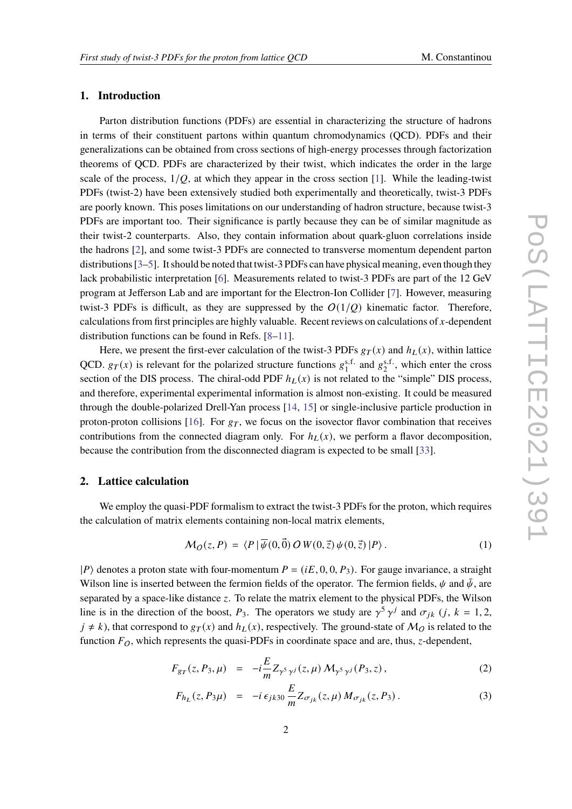### **1. Introduction**

Parton distribution functions (PDFs) are essential in characterizing the structure of hadrons in terms of their constituent partons within quantum chromodynamics (QCD). PDFs and their generalizations can be obtained from cross sections of high-energy processes through factorization theorems of QCD. PDFs are characterized by their twist, which indicates the order in the large scale of the process,  $1/O$ , at which they appear in the cross section [\[1\]](#page-7-0). While the leading-twist PDFs (twist-2) have been extensively studied both experimentally and theoretically, twist-3 PDFs are poorly known. This poses limitations on our understanding of hadron structure, because twist-3 PDFs are important too. Their significance is partly because they can be of similar magnitude as their twist-2 counterparts. Also, they contain information about quark-gluon correlations inside the hadrons [\[2\]](#page-7-1), and some twist-3 PDFs are connected to transverse momentum dependent parton distributions [\[3–](#page-7-2)[5\]](#page-7-3). It should be noted that twist-3 PDFs can have physical meaning, even though they lack probabilistic interpretation [\[6\]](#page-8-0). Measurements related to twist-3 PDFs are part of the 12 GeV program at Jefferson Lab and are important for the Electron-Ion Collider [\[7\]](#page-8-1). However, measuring twist-3 PDFs is difficult, as they are suppressed by the  $O(1/O)$  kinematic factor. Therefore, calculations from first principles are highly valuable. Recent reviews on calculations of  $x$ -dependent distribution functions can be found in Refs. [\[8–](#page-8-2)[11\]](#page-8-3).

Here, we present the first-ever calculation of the twist-3 PDFs  $g_T(x)$  and  $h_l(x)$ , within lattice QCD.  $g_T(x)$  is relevant for the polarized structure functions  $g_1^{\text{s.f.}}$  and  $g_2^{\text{s.f.}}$ , which enter the cross section of the DIS process. The chiral-odd PDF  $h_L(x)$  is not related to the "simple" DIS process, and therefore, experimental experimental information is almost non-existing. It could be measured through the double-polarized Drell-Yan process [\[14,](#page-8-4) [15\]](#page-8-5) or single-inclusive particle production in proton-proton collisions [\[16\]](#page-8-6). For  $g<sub>T</sub>$ , we focus on the isovector flavor combination that receives contributions from the connected diagram only. For  $h_L(x)$ , we perform a flavor decomposition, because the contribution from the disconnected diagram is expected to be small [\[33\]](#page-8-7).

## **2. Lattice calculation**

We employ the quasi-PDF formalism to extract the twist-3 PDFs for the proton, which requires the calculation of matrix elements containing non-local matrix elements,

$$
\mathcal{M}_O(z, P) = \langle P | \overline{\psi}(0, \vec{0}) \, O \, W(0, \vec{z}) \, \psi(0, \vec{z}) | P \rangle \,. \tag{1}
$$

 $|P\rangle$  denotes a proton state with four-momentum  $P = (iE, 0, 0, P_3)$ . For gauge invariance, a straight Wilson line is inserted between the fermion fields of the operator. The fermion fields,  $\psi$  and  $\bar{\psi}$ , are separated by a space-like distance  $z$ . To relate the matrix element to the physical PDFs, the Wilson line is in the direction of the boost,  $P_3$ . The operators we study are  $\gamma^5 \gamma^j$  and  $\sigma_{jk}$  (*j*, *k* = 1, 2,  $j \neq k$ ), that correspond to  $g_T(x)$  and  $h_L(x)$ , respectively. The ground-state of  $M_Q$  is related to the function  $F_O$ , which represents the quasi-PDFs in coordinate space and are, thus, z-dependent,

$$
F_{gr}(z, P_3, \mu) = -i\frac{E}{m} Z_{\gamma^5 \gamma^j}(z, \mu) M_{\gamma^5 \gamma^j}(P_3, z), \qquad (2)
$$

$$
F_{h_L}(z, P_3 \mu) = -i \epsilon_{jk30} \frac{E}{m} Z_{\sigma_{jk}}(z, \mu) M_{\sigma_{jk}}(z, P_3).
$$
 (3)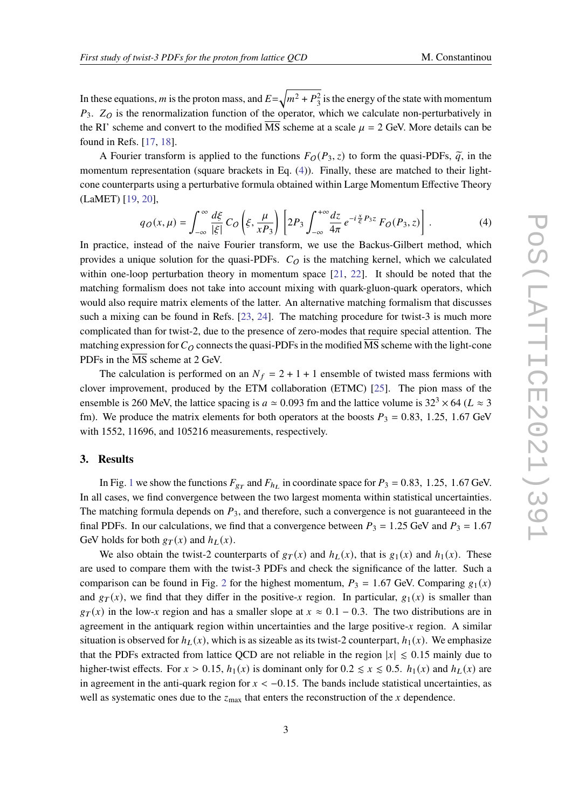In these equations, m is the proton mass, and  $E=\sqrt{m^2+P_3^2}$  is the energy of the state with momentum  $P_3$ .  $Z_O$  is the renormalization function of the operator, which we calculate non-perturbatively in the RI' scheme and convert to the modified MS scheme at a scale  $\mu = 2$  GeV. More details can be found in Refs. [\[17,](#page-8-8) [18\]](#page-8-9).

A Fourier transform is applied to the functions  $F_O(P_3, z)$  to form the quasi-PDFs,  $\tilde{q}$ , in the momentum representation (square brackets in Eq. [\(4\)](#page-2-0)). Finally, these are matched to their lightcone counterparts using a perturbative formula obtained within Large Momentum Effective Theory (LaMET) [\[19,](#page-8-10) [20\]](#page-8-11),

<span id="page-2-0"></span>
$$
q_O(x,\mu) = \int_{-\infty}^{\infty} \frac{d\xi}{|\xi|} C_O \left(\xi, \frac{\mu}{xP_3}\right) \left[2P_3 \int_{-\infty}^{+\infty} \frac{dz}{4\pi} e^{-i\frac{x}{\xi}P_3 z} F_O(P_3, z)\right].
$$
 (4)

In practice, instead of the naive Fourier transform, we use the Backus-Gilbert method, which provides a unique solution for the quasi-PDFs.  $C<sub>O</sub>$  is the matching kernel, which we calculated within one-loop perturbation theory in momentum space [\[21,](#page-8-12) [22\]](#page-8-13). It should be noted that the matching formalism does not take into account mixing with quark-gluon-quark operators, which would also require matrix elements of the latter. An alternative matching formalism that discusses such a mixing can be found in Refs. [\[23,](#page-8-14) [24\]](#page-8-15). The matching procedure for twist-3 is much more complicated than for twist-2, due to the presence of zero-modes that require special attention. The matching expression for  $C_Q$  connects the quasi-PDFs in the modified  $\overline{\text{MS}}$  scheme with the light-cone PDFs in the MS scheme at 2 GeV.

The calculation is performed on an  $N_f = 2 + 1 + 1$  ensemble of twisted mass fermions with clover improvement, produced by the ETM collaboration (ETMC) [\[25\]](#page-8-16). The pion mass of the ensemble is 260 MeV, the lattice spacing is  $a \approx 0.093$  fm and the lattice volume is  $32^3 \times 64$  ( $L \approx 3$ ) fm). We produce the matrix elements for both operators at the boosts  $P_3 = 0.83$ , 1.25, 1.67 GeV with 1552, 11696, and 105216 measurements, respectively.

## **3. Results**

In Fig. [1](#page-3-0) we show the functions  $F_{gr}$  and  $F_{h}$  in coordinate space for  $P_3 = 0.83$ , 1.25, 1.67 GeV. In all cases, we find convergence between the two largest momenta within statistical uncertainties. The matching formula depends on  $P_3$ , and therefore, such a convergence is not guaranteeed in the final PDFs. In our calculations, we find that a convergence between  $P_3 = 1.25$  GeV and  $P_3 = 1.67$ GeV holds for both  $g_T(x)$  and  $h_L(x)$ .

We also obtain the twist-2 counterparts of  $g_T(x)$  and  $h_L(x)$ , that is  $g_1(x)$  and  $h_1(x)$ . These are used to compare them with the twist-3 PDFs and check the significance of the latter. Such a comparison can be found in Fig. [2](#page-3-1) for the highest momentum,  $P_3 = 1.67$  GeV. Comparing  $g_1(x)$ and  $gr(x)$ , we find that they differ in the positive-x region. In particular,  $g_1(x)$  is smaller than  $g_T(x)$  in the low-x region and has a smaller slope at  $x \approx 0.1 - 0.3$ . The two distributions are in agreement in the antiquark region within uncertainties and the large positive- $x$  region. A similar situation is observed for  $h_L(x)$ , which is as sizeable as its twist-2 counterpart,  $h_1(x)$ . We emphasize that the PDFs extracted from lattice QCD are not reliable in the region  $|x| \le 0.15$  mainly due to higher-twist effects. For  $x > 0.15$ ,  $h_1(x)$  is dominant only for  $0.2 \le x \le 0.5$ .  $h_1(x)$  and  $h_L(x)$  are in agreement in the anti-quark region for  $x < -0.15$ . The bands include statistical uncertainties, as well as systematic ones due to the  $z_{\text{max}}$  that enters the reconstruction of the x dependence.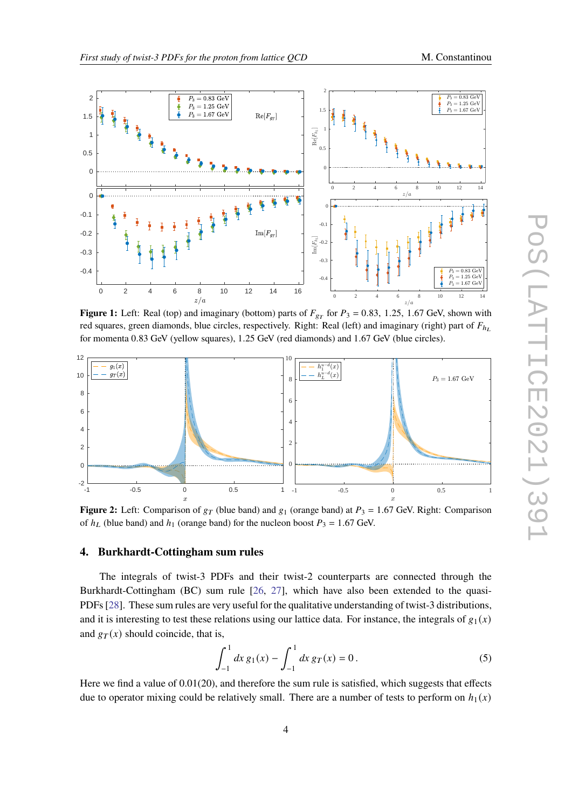

<span id="page-3-0"></span>

**Figure 1:** Left: Real (top) and imaginary (bottom) parts of  $F_{gr}$  for  $P_3 = 0.83$ , 1.25, 1.67 GeV, shown with red squares, green diamonds, blue circles, respectively. Right: Real (left) and imaginary (right) part of  $F_{h_L}$ for momenta 0.83 GeV (yellow squares), 1.25 GeV (red diamonds) and 1.67 GeV (blue circles).

<span id="page-3-1"></span>

**Figure 2:** Left: Comparison of  $g_T$  (blue band) and  $g_1$  (orange band) at  $P_3 = 1.67$  GeV. Right: Comparison of  $h_l$  (blue band) and  $h_1$  (orange band) for the nucleon boost  $P_3 = 1.67$  GeV.

## **4. Burkhardt-Cottingham sum rules**

The integrals of twist-3 PDFs and their twist-2 counterparts are connected through the Burkhardt-Cottingham (BC) sum rule [\[26,](#page-8-17) [27\]](#page-8-18), which have also been extended to the quasi-PDFs [\[28\]](#page-8-19). These sum rules are very useful for the qualitative understanding of twist-3 distributions, and it is interesting to test these relations using our lattice data. For instance, the integrals of  $g_1(x)$ and  $g_T(x)$  should coincide, that is,

$$
\int_{-1}^{1} dx \, g_1(x) - \int_{-1}^{1} dx \, g_T(x) = 0 \,. \tag{5}
$$

Here we find a value of  $0.01(20)$ , and therefore the sum rule is satisfied, which suggests that effects due to operator mixing could be relatively small. There are a number of tests to perform on  $h_1(x)$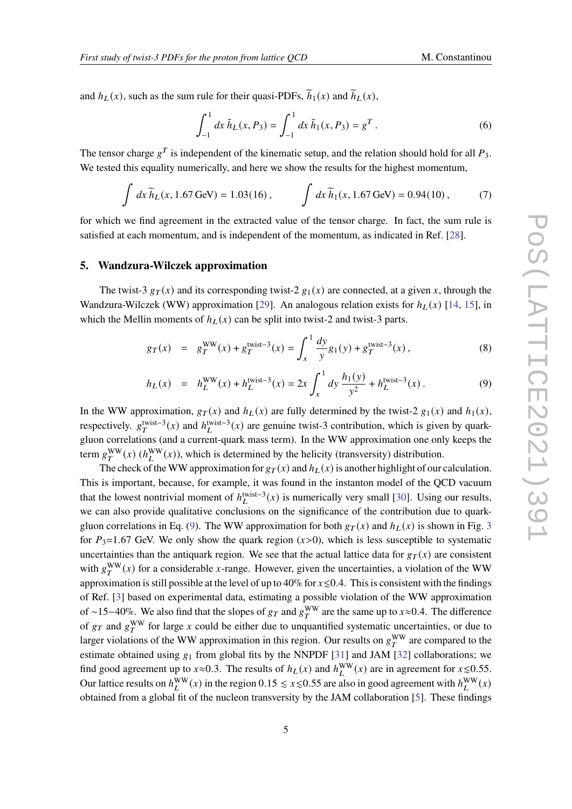and  $h_L(x)$ , such as the sum rule for their quasi-PDFs,  $\widetilde{h}_1(x)$  and  $\widetilde{h}_L(x)$ ,

$$
\int_{-1}^{1} dx \, \tilde{h}_L(x, P_3) = \int_{-1}^{1} dx \, \tilde{h}_1(x, P_3) = g^T.
$$
 (6)

The tensor charge  $g^T$  is independent of the kinematic setup, and the relation should hold for all  $P_3$ . We tested this equality numerically, and here we show the results for the highest momentum,

$$
\int dx \, \widetilde{h}_L(x, 1.67 \,\text{GeV}) = 1.03(16) \,, \qquad \int dx \, \widetilde{h}_1(x, 1.67 \,\text{GeV}) = 0.94(10) \,, \tag{7}
$$

for which we find agreement in the extracted value of the tensor charge. In fact, the sum rule is satisfied at each momentum, and is independent of the momentum, as indicated in Ref. [\[28\]](#page-8-19).

#### **5. Wandzura-Wilczek approximation**

The twist-3  $g_T(x)$  and its corresponding twist-2  $g_1(x)$  are connected, at a given x, through the Wandzura-Wilczek (WW) approximation [\[29\]](#page-8-20). An analogous relation exists for  $h_L(x)$  [\[14,](#page-8-4) [15\]](#page-8-5), in which the Mellin moments of  $h_L(x)$  can be split into twist-2 and twist-3 parts.

<span id="page-4-0"></span>
$$
g_T(x) = g_T^{\text{WW}}(x) + g_T^{\text{twist}-3}(x) = \int_x^1 \frac{dy}{y} g_1(y) + g_T^{\text{twist}-3}(x) , \qquad (8)
$$

$$
h_L(x) = h_L^{\text{WW}}(x) + h_L^{\text{twist}-3}(x) = 2x \int_x^1 dy \, \frac{h_1(y)}{y^2} + h_L^{\text{twist}-3}(x) \,. \tag{9}
$$

In the WW approximation,  $g_T(x)$  and  $h_L(x)$  are fully determined by the twist-2  $g_1(x)$  and  $h_1(x)$ , respectively.  $g_T^{\text{twist}-3}(x)$  and  $h_L^{\text{twist}-3}(x)$  are genuine twist-3 contribution, which is given by quarkgluon correlations (and a current-quark mass term). In the WW approximation one only keeps the term  $g_T^{\text{WW}}(x)$  ( $h_L^{\text{WW}}(x)$ ), which is determined by the helicity (transversity) distribution.

The check of the WW approximation for  $g_T(x)$  and  $h_L(x)$  is another highlight of our calculation. This is important, because, for example, it was found in the instanton model of the QCD vacuum that the lowest nontrivial moment of  $h_L^{\text{twist}-3}(x)$  is numerically very small [\[30\]](#page-8-21). Using our results, we can also provide qualitative conclusions on the significance of the contribution due to quark-gluon correlations in Eq. [\(9\)](#page-4-0). The WW approximation for both  $g_T(x)$  and  $h_L(x)$  is shown in Fig. [3](#page-5-0) for  $P_3=1.67$  GeV. We only show the quark region (x>0), which is less susceptible to systematic uncertainties than the antiquark region. We see that the actual lattice data for  $g_T(x)$  are consistent with  $g_T^{\text{WW}}(x)$  for a considerable x-range. However, given the uncertainties, a violation of the WW approximation is still possible at the level of up to 40% for  $x \le 0.4$ . This is consistent with the findings of Ref. [\[3\]](#page-7-2) based on experimental data, estimating a possible violation of the WW approximation of ~15−40%. We also find that the slopes of  $g_T$  and  $g_T^{\text{WW}}$  are the same up to  $x\approx 0.4$ . The difference of  $g_T$  and  $g_T^{\text{WW}}$  for large x could be either due to unquantified systematic uncertainties, or due to larger violations of the WW approximation in this region. Our results on  $g_T^{\rm WW}$  are compared to the estimate obtained using  $g_1$  from global fits by the NNPDF [\[31\]](#page-8-22) and JAM [\[32\]](#page-8-23) collaborations; we find good agreement up to  $x \approx 0.3$ . The results of  $h_L(x)$  and  $h_L^{WW}(x)$  are in agreement for  $x \le 0.55$ . Our lattice results on  $h_L^{\text{WW}}(x)$  in the region 0.15  $\leq x \leq 0.55$  are also in good agreement with  $h_L^{\text{WW}}(x)$ obtained from a global fit of the nucleon transversity by the JAM collaboration [\[5\]](#page-7-3). These findings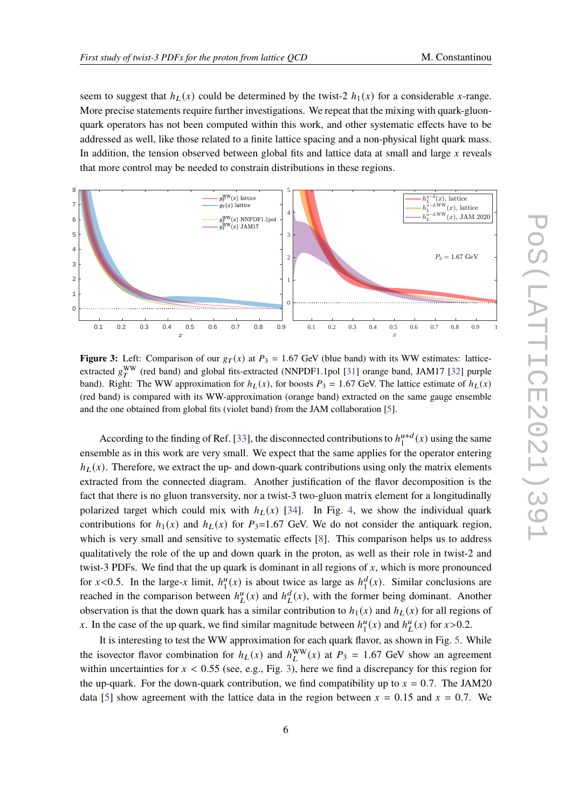seem to suggest that  $h_L(x)$  could be determined by the twist-2  $h_1(x)$  for a considerable x-range. More precise statements require further investigations. We repeat that the mixing with quark-gluonquark operators has not been computed within this work, and other systematic effects have to be addressed as well, like those related to a finite lattice spacing and a non-physical light quark mass. In addition, the tension observed between global fits and lattice data at small and large  $x$  reveals that more control may be needed to constrain distributions in these regions.

<span id="page-5-0"></span>

**Figure 3:** Left: Comparison of our  $g_T(x)$  at  $P_3 = 1.67$  GeV (blue band) with its WW estimates: latticeextracted  $g_T^{\rm WW}$  (red band) and global fits-extracted (NNPDF1.1pol [\[31\]](#page-8-22) orange band, JAM17 [\[32\]](#page-8-23) purple band). Right: The WW approximation for  $h_L(x)$ , for boosts  $P_3 = 1.67$  GeV. The lattice estimate of  $h_L(x)$ (red band) is compared with its WW-approximation (orange band) extracted on the same gauge ensemble and the one obtained from global fits (violet band) from the JAM collaboration [\[5\]](#page-7-3).

According to the finding of Ref. [\[33\]](#page-8-7), the disconnected contributions to  $h_1^{u+d}$  $\int_1^{u+d}(x)$  using the same ensemble as in this work are very small. We expect that the same applies for the operator entering  $h_L(x)$ . Therefore, we extract the up- and down-quark contributions using only the matrix elements extracted from the connected diagram. Another justification of the flavor decomposition is the fact that there is no gluon transversity, nor a twist-3 two-gluon matrix element for a longitudinally polarized target which could mix with  $h_l(x)$  [\[34\]](#page-8-24). In Fig. [4,](#page-6-0) we show the individual quark contributions for  $h_1(x)$  and  $h_1(x)$  for  $P_3=1.67$  GeV. We do not consider the antiquark region, which is very small and sensitive to systematic effects [\[8\]](#page-8-2). This comparison helps us to address qualitatively the role of the up and down quark in the proton, as well as their role in twist-2 and twist-3 PDFs. We find that the up quark is dominant in all regions of  $x$ , which is more pronounced for  $x < 0.5$ . In the large-x limit,  $h_1^u$  $u_1^u(x)$  is about twice as large as  $h_1^d$  $_1^d(x)$ . Similar conclusions are reached in the comparison between  $h_L^u(x)$  and  $h_L^d(x)$ , with the former being dominant. Another observation is that the down quark has a similar contribution to  $h_1(x)$  and  $h_L(x)$  for all regions of x. In the case of the up quark, we find similar magnitude between  $h_1^u$  $\binom{u}{1}(x)$  and  $h^u(L(x))$  for  $x > 0.2$ .

It is interesting to test the WW approximation for each quark flavor, as shown in Fig. [5.](#page-6-1) While the isovector flavor combination for  $h_L(x)$  and  $h_L^{WW}(x)$  at  $P_3 = 1.67$  GeV show an agreement within uncertainties for  $x < 0.55$  (see, e.g., Fig. [3\)](#page-5-0), here we find a discrepancy for this region for the up-quark. For the down-quark contribution, we find compatibility up to  $x = 0.7$ . The JAM20 data [\[5\]](#page-7-3) show agreement with the lattice data in the region between  $x = 0.15$  and  $x = 0.7$ . We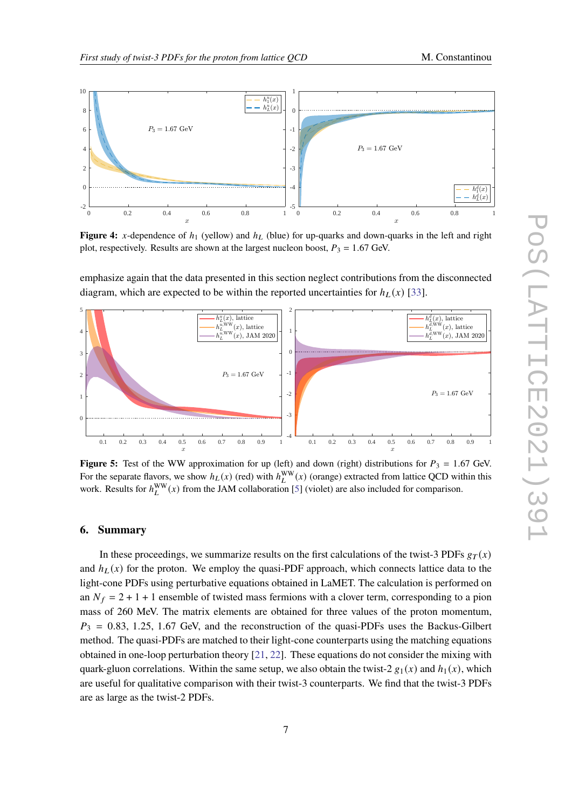<span id="page-6-0"></span>

**Figure 4:** x-dependence of  $h_1$  (yellow) and  $h_L$  (blue) for up-quarks and down-quarks in the left and right plot, respectively. Results are shown at the largest nucleon boost,  $P_3 = 1.67$  GeV.

emphasize again that the data presented in this section neglect contributions from the disconnected diagram, which are expected to be within the reported uncertainties for  $h_L(x)$  [\[33\]](#page-8-7).

<span id="page-6-1"></span>

**Figure 5:** Test of the WW approximation for up (left) and down (right) distributions for  $P_3 = 1.67$  GeV. For the separate flavors, we show  $h_L(x)$  (red) with  $h_L^{WW}(x)$  (orange) extracted from lattice QCD within this work. Results for  $h_L^{\text{WW}}(x)$  from the JAM collaboration [\[5\]](#page-7-3) (violet) are also included for comparison.

#### **6. Summary**

In these proceedings, we summarize results on the first calculations of the twist-3 PDFs  $g_T(x)$ and  $h_L(x)$  for the proton. We employ the quasi-PDF approach, which connects lattice data to the light-cone PDFs using perturbative equations obtained in LaMET. The calculation is performed on an  $N_f = 2 + 1 + 1$  ensemble of twisted mass fermions with a clover term, corresponding to a pion mass of 260 MeV. The matrix elements are obtained for three values of the proton momentum,  $P_3 = 0.83, 1.25, 1.67$  GeV, and the reconstruction of the quasi-PDFs uses the Backus-Gilbert method. The quasi-PDFs are matched to their light-cone counterparts using the matching equations obtained in one-loop perturbation theory [\[21,](#page-8-12) [22\]](#page-8-13). These equations do not consider the mixing with quark-gluon correlations. Within the same setup, we also obtain the twist-2  $g_1(x)$  and  $h_1(x)$ , which are useful for qualitative comparison with their twist-3 counterparts. We find that the twist-3 PDFs are as large as the twist-2 PDFs.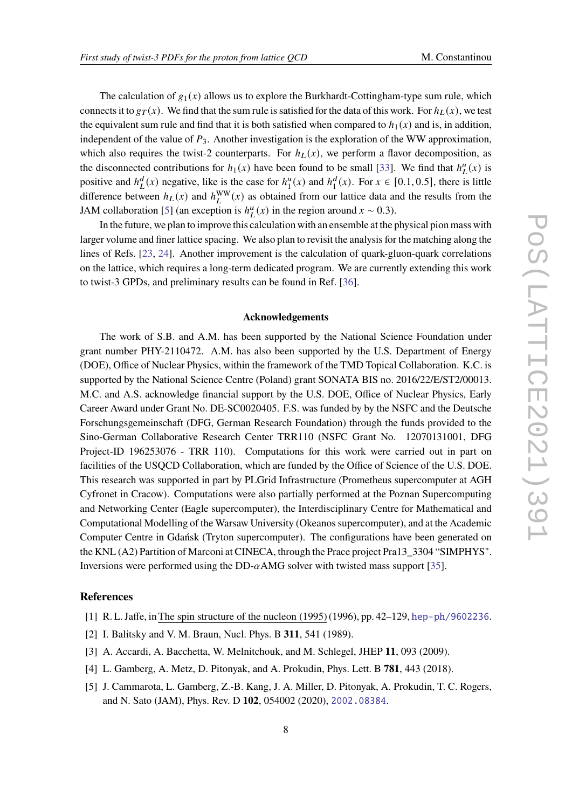The calculation of  $g_1(x)$  allows us to explore the Burkhardt-Cottingham-type sum rule, which connects it to  $g_T(x)$ . We find that the sum rule is satisfied for the data of this work. For  $h_L(x)$ , we test the equivalent sum rule and find that it is both satisfied when compared to  $h_1(x)$  and is, in addition, independent of the value of  $P_3$ . Another investigation is the exploration of the WW approximation, which also requires the twist-2 counterparts. For  $h<sub>L</sub>(x)$ , we perform a flavor decomposition, as the disconnected contributions for  $h_1(x)$  have been found to be small [\[33\]](#page-8-7). We find that  $h_L^u(x)$  is positive and  $h^d_L(x)$  negative, like is the case for  $h^u_1$  $\binom{u}{1}(x)$  and  $h_1^d$  $_1^d(x)$ . For  $x \in [0.1, 0.5]$ , there is little difference between  $h_L(x)$  and  $h_L^{\text{WW}}(x)$  as obtained from our lattice data and the results from the JAM collaboration [\[5\]](#page-7-3) (an exception is  $h<sup>u</sup><sub>L</sub>(x)$  in the region around  $x \sim 0.3$ ).

In the future, we plan to improve this calculation with an ensemble at the physical pion mass with larger volume and finer lattice spacing. We also plan to revisit the analysis for the matching along the lines of Refs. [\[23,](#page-8-14) [24\]](#page-8-15). Another improvement is the calculation of quark-gluon-quark correlations on the lattice, which requires a long-term dedicated program. We are currently extending this work to twist-3 GPDs, and preliminary results can be found in Ref. [\[36\]](#page-8-25).

#### **Acknowledgements**

The work of S.B. and A.M. has been supported by the National Science Foundation under grant number PHY-2110472. A.M. has also been supported by the U.S. Department of Energy (DOE), Office of Nuclear Physics, within the framework of the TMD Topical Collaboration. K.C. is supported by the National Science Centre (Poland) grant SONATA BIS no. 2016/22/E/ST2/00013. M.C. and A.S. acknowledge financial support by the U.S. DOE, Office of Nuclear Physics, Early Career Award under Grant No. DE-SC0020405. F.S. was funded by by the NSFC and the Deutsche Forschungsgemeinschaft (DFG, German Research Foundation) through the funds provided to the Sino-German Collaborative Research Center TRR110 (NSFC Grant No. 12070131001, DFG Project-ID 196253076 - TRR 110). Computations for this work were carried out in part on facilities of the USQCD Collaboration, which are funded by the Office of Science of the U.S. DOE. This research was supported in part by PLGrid Infrastructure (Prometheus supercomputer at AGH Cyfronet in Cracow). Computations were also partially performed at the Poznan Supercomputing and Networking Center (Eagle supercomputer), the Interdisciplinary Centre for Mathematical and Computational Modelling of the Warsaw University (Okeanos supercomputer), and at the Academic Computer Centre in Gdańsk (Tryton supercomputer). The configurations have been generated on the KNL (A2) Partition of Marconi at CINECA, through the Prace project Pra13\_3304 "SIMPHYS". Inversions were performed using the DD- $\alpha$ AMG solver with twisted mass support [\[35\]](#page-8-26).

#### **References**

- <span id="page-7-0"></span>[1] R. L. Jaffe, inThe spin structure of the nucleon (1995) (1996), pp. 42–129, <hep-ph/9602236>.
- <span id="page-7-1"></span>[2] I. Balitsky and V. M. Braun, Nucl. Phys. B **311**, 541 (1989).
- <span id="page-7-2"></span>[3] A. Accardi, A. Bacchetta, W. Melnitchouk, and M. Schlegel, JHEP **11**, 093 (2009).
- [4] L. Gamberg, A. Metz, D. Pitonyak, and A. Prokudin, Phys. Lett. B **781**, 443 (2018).
- <span id="page-7-3"></span>[5] J. Cammarota, L. Gamberg, Z.-B. Kang, J. A. Miller, D. Pitonyak, A. Prokudin, T. C. Rogers, and N. Sato (JAM), Phys. Rev. D **102**, 054002 (2020), <2002.08384>.